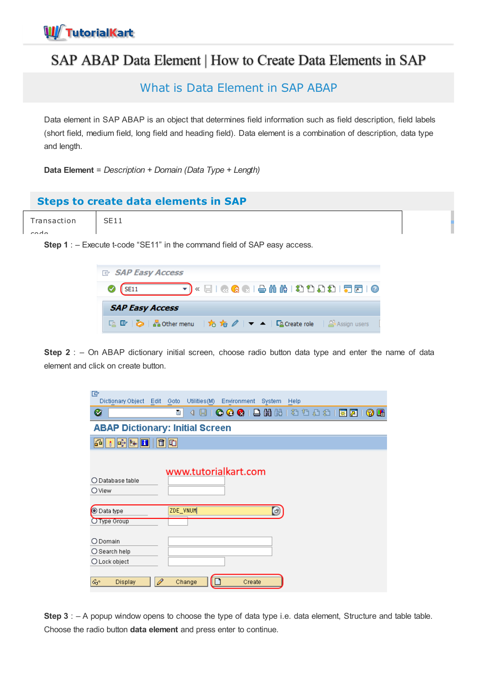# SAP ABAP Data Element | How to Create Data Elements in SAP

What is Data Element in SAP ABAP

Data element in SAP ABAP is an object that determines field information such as field description, field labels (short field, medium field, long field and heading field). Data element is a combination of description, data type and length.

**Data Element** = *Description + Domain (Data Type + Length)*

## **Steps to create data elements in SAP**

Transaction code SE11

**Step 1** : – Execute t-code "SE11" in the command field of SAP easy access.

| <b>E</b> SAP Easy Access                                                           |
|------------------------------------------------------------------------------------|
| P)« EI Q Q Q I ê n n n £ £ £ £ £ F d I Q<br>$\sqrt{\text{SE11}}$                   |
| <b>SAP Easy Access</b>                                                             |
| $\Box$ 『 》 • 品 Other menu   ☆ ☆ /   ▼ ▲   $\Box$ Create role   $\Box$ Assign users |

**Step 2** : – On ABAP dictionary initial screen, choose radio button data type and enter the name of data element and click on create button.

| 叵<br>Dictionary Object<br>Utilities(M)<br>Edit<br>Goto        | Environment<br><b>System</b><br>Help     |
|---------------------------------------------------------------|------------------------------------------|
| Ø<br>Ū<br>◁                                                   | 9 0 0 0 1 4 4 4 5 6 7 7 8 9 1 8 7<br>0 E |
| <b>ABAP Dictionary: Initial Screen</b>                        |                                          |
| $\mathbb{E}[\mathbb{E}[\mathbb{E}^{\mathbb{I}}]$<br>面面<br>691 |                                          |
|                                                               |                                          |
| www.tutorialkart.com                                          |                                          |
| ◯ Database table                                              |                                          |
| <b>O</b> View                                                 |                                          |
|                                                               |                                          |
| ZDE_VNUM<br>© Data type                                       | $\bigcirc$                               |
| O Type Group                                                  |                                          |
|                                                               |                                          |
| O Domain                                                      |                                          |
| $\bigcirc$ Search help                                        |                                          |
| O Lock object                                                 |                                          |
|                                                               |                                          |
| P<br>ଙ<br>Change<br>Display                                   | Create                                   |

**Step 3** : – A popup window opens to choose the type of data type i.e. data element, Structure and table table. Choose the radio button **data element** and press enter to continue.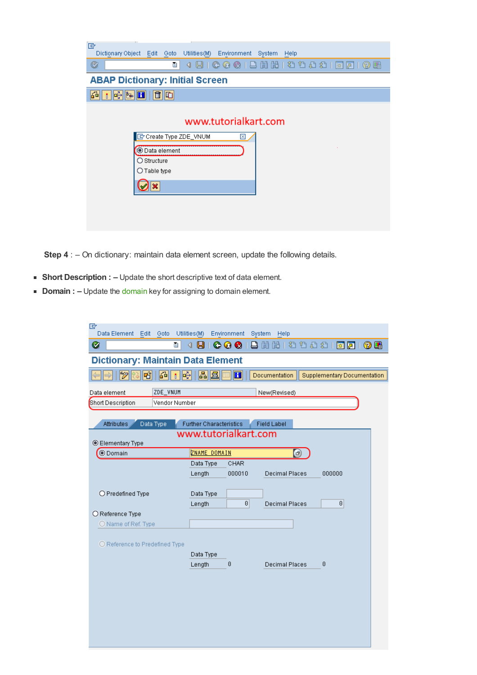| T.<br>叵<br>Utilities(M) Environment<br>Dictionary Object Edit Goto<br>System<br>Help |  |
|--------------------------------------------------------------------------------------|--|
| ū<br>Ø                                                                               |  |
| <b>ABAP Dictionary: Initial Screen</b>                                               |  |
| $\mathbf{E}$ and $\mathbf{H}$<br>面面<br>64                                            |  |
|                                                                                      |  |
| www.tutorialkart.com                                                                 |  |
| Create Type ZDE_VNUM<br>⊠                                                            |  |
| O Data element                                                                       |  |
| O Structure<br>$\bigcirc$ Table type                                                 |  |
|                                                                                      |  |
|                                                                                      |  |
|                                                                                      |  |
|                                                                                      |  |

**Step 4** : - On dictionary: maintain data element screen, update the following details.

- **Short Description : –** Update the short descriptive text of data element.
- **Domain : –** Update the [domain](https://www.tutorialkart.com/sap-abap/sap-abap-domain/) key for assigning to domain element.

| 叵<br>Data Element<br>Edit<br>Goto        | Utilities(M)                   | Environment<br>System | Help                  |                                    |     |
|------------------------------------------|--------------------------------|-----------------------|-----------------------|------------------------------------|-----|
| Ø<br>ū                                   | ∢<br>9                         | $\circ\circ$          | 84481481              | 累図                                 | 0 E |
| <b>Dictionary: Maintain Data Element</b> |                                |                       |                       |                                    |     |
| ⊗<br>區<br>मी<br>⊮<br>T                   | 뭐目                             | $\mathbf{H}$          | Documentation         | <b>Supplementary Documentation</b> |     |
| ZDE_VNUM<br>Data element                 |                                |                       | New(Revised)          |                                    |     |
| Short Description<br>Vendor Number       |                                |                       |                       |                                    |     |
|                                          |                                |                       |                       |                                    |     |
| <b>Attributes</b><br>Data Type           | <b>Further Characteristics</b> | www.tutorialkart.com  | <b>Field Label</b>    |                                    |     |
| <b>Elementary Type</b>                   |                                |                       |                       |                                    |     |
| <b>O</b> Domain                          | ZNAME DOMAIN                   |                       | Θ                     |                                    |     |
|                                          | Data Type                      | CHAR                  |                       |                                    |     |
|                                          | Length                         | 000010                | <b>Decimal Places</b> | 000000                             |     |
| O Predefined Type                        | Data Type                      |                       |                       |                                    |     |
|                                          | Length                         | $\boldsymbol{\theta}$ | <b>Decimal Places</b> | $\boldsymbol{\theta}$              |     |
| O Reference Type                         |                                |                       |                       |                                    |     |
| O Name of Ref. Type                      |                                |                       |                       |                                    |     |
|                                          |                                |                       |                       |                                    |     |
| O Reference to Predefined Type           |                                |                       |                       |                                    |     |
|                                          | Data Type<br>Length            | 0                     | <b>Decimal Places</b> | 0                                  |     |
|                                          |                                |                       |                       |                                    |     |
|                                          |                                |                       |                       |                                    |     |
|                                          |                                |                       |                       |                                    |     |
|                                          |                                |                       |                       |                                    |     |
|                                          |                                |                       |                       |                                    |     |
|                                          |                                |                       |                       |                                    |     |
|                                          |                                |                       |                       |                                    |     |
|                                          |                                |                       |                       |                                    |     |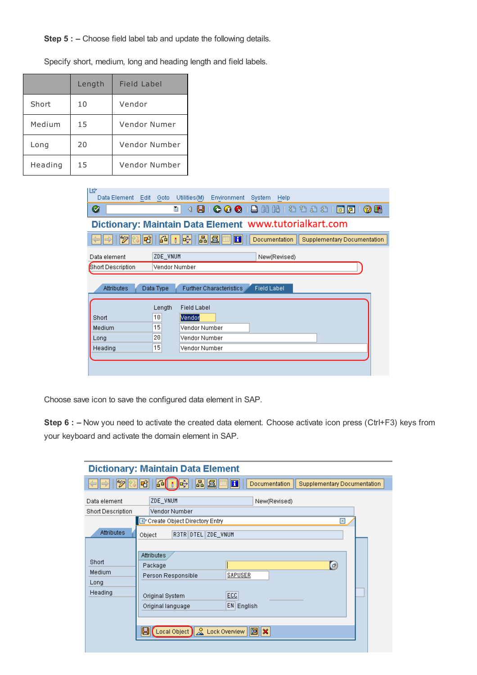**Step 5 : –** Choose field label tab and update the following details.

Length Field Label Short 10 Vendor Medium 15 Vendor Numer Long 20 Vendor Number Heading 15 Vendor Number

Specify short, medium, long and heading length and field labels.

| Ľġ<br>Data Element                                     | Edit Goto     | Utilities(M)                   | Environment    | System<br>Help       |                                    |  |
|--------------------------------------------------------|---------------|--------------------------------|----------------|----------------------|------------------------------------|--|
| Ø                                                      | 囼             | 91<br>◁                        |                | COC  8  2  2  2  2   | 0 R<br>深図                          |  |
| Dictionary: Maintain Data Element www.tutorialkart.com |               |                                |                |                      |                                    |  |
| 岡                                                      | 691<br>T.     | 晶国<br>閽                        | $\blacksquare$ | <b>Documentation</b> | <b>Supplementary Documentation</b> |  |
| Data element                                           | ZDE_VNUM      |                                |                | New(Revised)         |                                    |  |
| Short Description                                      | Vendor Number |                                |                |                      |                                    |  |
| <b>Attributes</b>                                      | Data Type     | <b>Further Characteristics</b> |                | <b>Field Label</b>   |                                    |  |
|                                                        | Length        | Field Label                    |                |                      |                                    |  |
| Short                                                  | 10            | Vendor                         |                |                      |                                    |  |
| Medium                                                 | 15            | Vendor Number                  |                |                      |                                    |  |
| Long                                                   | 20            | Vendor Number                  |                |                      |                                    |  |
| Heading                                                | 15            | Vendor Number                  |                |                      |                                    |  |
|                                                        |               |                                |                |                      |                                    |  |
|                                                        |               |                                |                |                      |                                    |  |

Choose save icon to save the configured data element in SAP.

**Step 6 : –** Now you need to activate the created data element. Choose activate icon press (Ctrl+F3) keys from your keyboard and activate the domain element in SAP.

|                                          | <b>Dictionary: Maintain Data Element</b>                                                                                                                                                                                                                 |
|------------------------------------------|----------------------------------------------------------------------------------------------------------------------------------------------------------------------------------------------------------------------------------------------------------|
| 667                                      | 圖圖<br>品間中<br>咄<br>$\bf{H}$<br>Documentation<br><b>Supplementary Documentation</b>                                                                                                                                                                        |
| Data element<br><b>Short Description</b> | ZDE_VNUM<br>New(Revised)<br>Vendor Number<br>Create Object Directory Entry<br>⊠                                                                                                                                                                          |
| Attributes                               | R3TR DTEL ZDE VNUM<br>Object                                                                                                                                                                                                                             |
| Short<br>Medium<br>Long<br>Heading       | Attributes<br>$\left( \mathbf{F}\right)$<br>Package<br>SAPUSER<br>Person Responsible<br>ECC<br>Original System<br>EN English<br>Original language<br>g<br>$\left(\text{Local Object}\right) \& \text{ Lock Overview} \parallel \Xi \parallel \mathbf{x}$ |